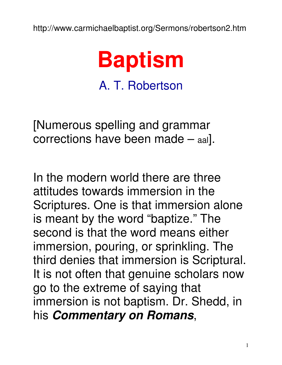# **Baptism**  A. T. Robertson

[Numerous spelling and grammar corrections have been made – aal].

In the modern world there are three attitudes towards immersion in the Scriptures. One is that immersion alone is meant by the word "baptize." The second is that the word means either immersion, pouring, or sprinkling. The third denies that immersion is Scriptural. It is not often that genuine scholars now go to the extreme of saying that immersion is not baptism. Dr. Shedd, in his **Commentary on Romans**,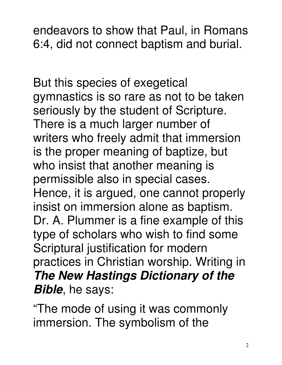endeavors to show that Paul, in Romans 6:4, did not connect baptism and burial.

But this species of exegetical gymnastics is so rare as not to be taken seriously by the student of Scripture. There is a much larger number of writers who freely admit that immersion is the proper meaning of baptize, but who insist that another meaning is permissible also in special cases. Hence, it is argued, one cannot properly insist on immersion alone as baptism. Dr. A. Plummer is a fine example of this type of scholars who wish to find some Scriptural justification for modern practices in Christian worship. Writing in **The New Hastings Dictionary of the Bible**, he says:

"The mode of using it was commonly immersion. The symbolism of the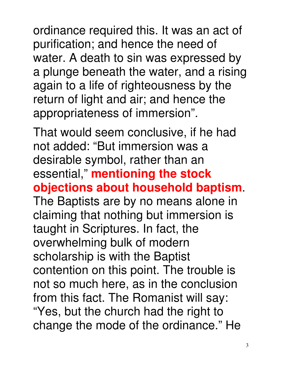ordinance required this. It was an act of purification; and hence the need of water. A death to sin was expressed by a plunge beneath the water, and a rising again to a life of righteousness by the return of light and air; and hence the appropriateness of immersion".

That would seem conclusive, if he had not added: "But immersion was a desirable symbol, rather than an essential," **mentioning the stock objections about household baptism**. The Baptists are by no means alone in claiming that nothing but immersion is taught in Scriptures. In fact, the overwhelming bulk of modern scholarship is with the Baptist contention on this point. The trouble is not so much here, as in the conclusion from this fact. The Romanist will say: "Yes, but the church had the right to change the mode of the ordinance." He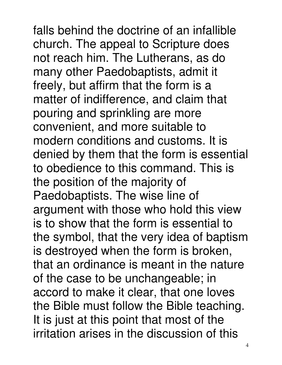falls behind the doctrine of an infallible church. The appeal to Scripture does not reach him. The Lutherans, as do many other Paedobaptists, admit it freely, but affirm that the form is a matter of indifference, and claim that pouring and sprinkling are more convenient, and more suitable to modern conditions and customs. It is denied by them that the form is essential to obedience to this command. This is the position of the majority of Paedobaptists. The wise line of argument with those who hold this view is to show that the form is essential to the symbol, that the very idea of baptism is destroyed when the form is broken, that an ordinance is meant in the nature of the case to be unchangeable; in accord to make it clear, that one loves the Bible must follow the Bible teaching. It is just at this point that most of the irritation arises in the discussion of this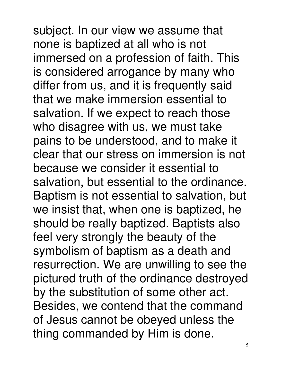subject. In our view we assume that none is baptized at all who is not immersed on a profession of faith. This is considered arrogance by many who differ from us, and it is frequently said that we make immersion essential to salvation. If we expect to reach those who disagree with us, we must take pains to be understood, and to make it clear that our stress on immersion is not because we consider it essential to salvation, but essential to the ordinance. Baptism is not essential to salvation, but we insist that, when one is baptized, he should be really baptized. Baptists also feel very strongly the beauty of the symbolism of baptism as a death and resurrection. We are unwilling to see the pictured truth of the ordinance destroyed by the substitution of some other act. Besides, we contend that the command of Jesus cannot be obeyed unless the thing commanded by Him is done.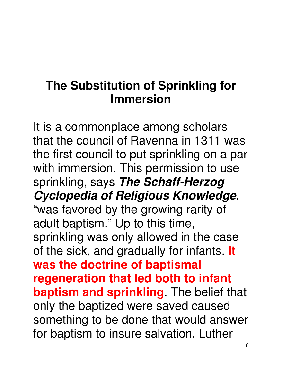#### **The Substitution of Sprinkling for Immersion**

It is a commonplace among scholars that the council of Ravenna in 1311 was the first council to put sprinkling on a par with immersion. This permission to use sprinkling, says **The Schaff-Herzog Cyclopedia of Religious Knowledge**, "was favored by the growing rarity of adult baptism." Up to this time, sprinkling was only allowed in the case of the sick, and gradually for infants. **It was the doctrine of baptismal regeneration that led both to infant baptism and sprinkling**. The belief that only the baptized were saved caused something to be done that would answer for baptism to insure salvation. Luther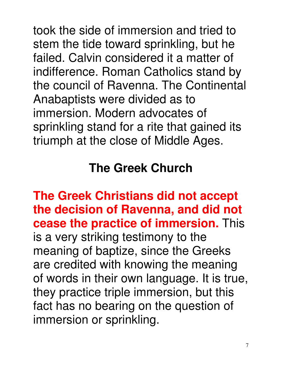took the side of immersion and tried to stem the tide toward sprinkling, but he failed. Calvin considered it a matter of indifference. Roman Catholics stand by the council of Ravenna. The Continental Anabaptists were divided as to immersion. Modern advocates of sprinkling stand for a rite that gained its triumph at the close of Middle Ages.

#### **The Greek Church**

**The Greek Christians did not accept the decision of Ravenna, and did not cease the practice of immersion.** This is a very striking testimony to the meaning of baptize, since the Greeks are credited with knowing the meaning of words in their own language. It is true, they practice triple immersion, but this fact has no bearing on the question of immersion or sprinkling.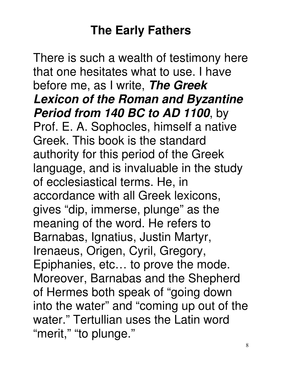# **The Early Fathers**

There is such a wealth of testimony here that one hesitates what to use. I have before me, as I write, **The Greek Lexicon of the Roman and Byzantine Period from 140 BC to AD 1100, by** Prof. E. A. Sophocles, himself a native Greek. This book is the standard authority for this period of the Greek language, and is invaluable in the study of ecclesiastical terms. He, in accordance with all Greek lexicons, gives "dip, immerse, plunge" as the meaning of the word. He refers to Barnabas, Ignatius, Justin Martyr, Irenaeus, Origen, Cyril, Gregory, Epiphanies, etc… to prove the mode. Moreover, Barnabas and the Shepherd of Hermes both speak of "going down into the water" and "coming up out of the water." Tertullian uses the Latin word "merit," "to plunge."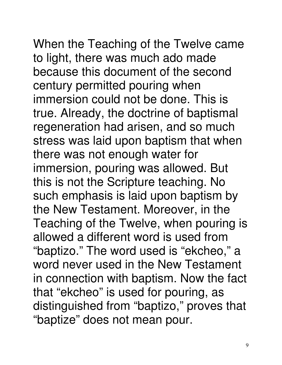# When the Teaching of the Twelve came

to light, there was much ado made because this document of the second century permitted pouring when immersion could not be done. This is true. Already, the doctrine of baptismal regeneration had arisen, and so much stress was laid upon baptism that when there was not enough water for immersion, pouring was allowed. But this is not the Scripture teaching. No such emphasis is laid upon baptism by the New Testament. Moreover, in the Teaching of the Twelve, when pouring is allowed a different word is used from "baptizo." The word used is "ekcheo," a word never used in the New Testament in connection with baptism. Now the fact that "ekcheo" is used for pouring, as distinguished from "baptizo," proves that "baptize" does not mean pour.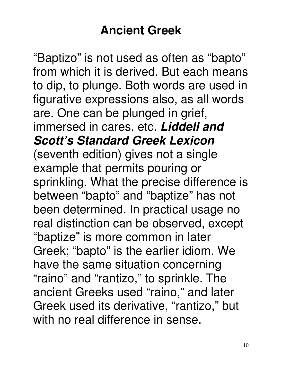# **Ancient Greek**

"Baptizo" is not used as often as "bapto" from which it is derived. But each means to dip, to plunge. Both words are used in figurative expressions also, as all words are. One can be plunged in grief, immersed in cares, etc. **Liddell and Scott's Standard Greek Lexicon** (seventh edition) gives not a single example that permits pouring or sprinkling. What the precise difference is between "bapto" and "baptize" has not been determined. In practical usage no real distinction can be observed, except "baptize" is more common in later Greek; "bapto" is the earlier idiom. We have the same situation concerning "raino" and "rantizo," to sprinkle. The ancient Greeks used "raino," and later Greek used its derivative, "rantizo," but with no real difference in sense.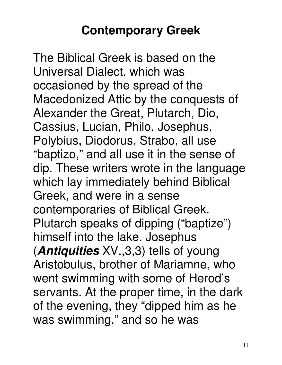### **Contemporary Greek**

The Biblical Greek is based on the Universal Dialect, which was occasioned by the spread of the Macedonized Attic by the conquests of Alexander the Great, Plutarch, Dio, Cassius, Lucian, Philo, Josephus, Polybius, Diodorus, Strabo, all use "baptizo," and all use it in the sense of dip. These writers wrote in the language which lay immediately behind Biblical Greek, and were in a sense contemporaries of Biblical Greek. Plutarch speaks of dipping ("baptize") himself into the lake. Josephus (**Antiquities** XV.,3,3) tells of young Aristobulus, brother of Mariamne, who went swimming with some of Herod's servants. At the proper time, in the dark of the evening, they "dipped him as he was swimming," and so he was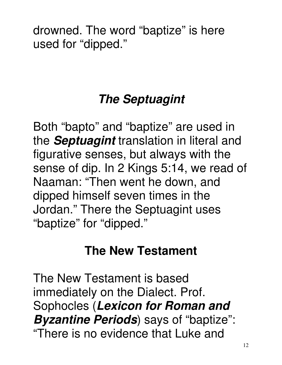drowned. The word "baptize" is here used for "dipped."

## **The Septuagint**

Both "bapto" and "baptize" are used in the **Septuagint** translation in literal and figurative senses, but always with the sense of dip. In 2 Kings 5:14, we read of Naaman: "Then went he down, and dipped himself seven times in the Jordan." There the Septuagint uses "baptize" for "dipped."

#### **The New Testament**

The New Testament is based immediately on the Dialect. Prof. Sophocles (**Lexicon for Roman and Byzantine Periods**) says of "baptize": "There is no evidence that Luke and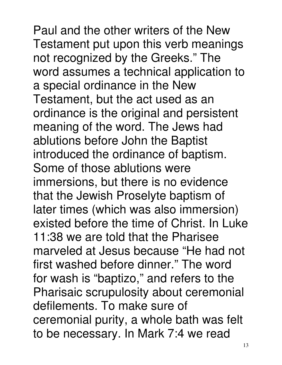Paul and the other writers of the New Testament put upon this verb meanings not recognized by the Greeks." The word assumes a technical application to a special ordinance in the New Testament, but the act used as an ordinance is the original and persistent meaning of the word. The Jews had ablutions before John the Baptist introduced the ordinance of baptism. Some of those ablutions were immersions, but there is no evidence that the Jewish Proselyte baptism of later times (which was also immersion) existed before the time of Christ. In Luke 11:38 we are told that the Pharisee marveled at Jesus because "He had not first washed before dinner." The word for wash is "baptizo," and refers to the Pharisaic scrupulosity about ceremonial defilements. To make sure of ceremonial purity, a whole bath was felt to be necessary. In Mark 7:4 we read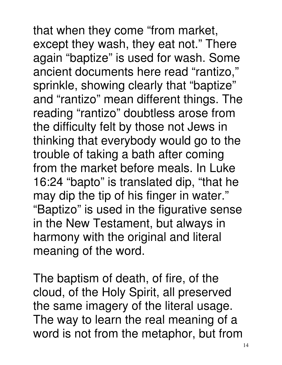that when they come "from market, except they wash, they eat not." There again "baptize" is used for wash. Some ancient documents here read "rantizo," sprinkle, showing clearly that "baptize" and "rantizo" mean different things. The reading "rantizo" doubtless arose from the difficulty felt by those not Jews in thinking that everybody would go to the trouble of taking a bath after coming from the market before meals. In Luke 16:24 "bapto" is translated dip, "that he may dip the tip of his finger in water." "Baptizo" is used in the figurative sense in the New Testament, but always in harmony with the original and literal meaning of the word.

The baptism of death, of fire, of the cloud, of the Holy Spirit, all preserved the same imagery of the literal usage. The way to learn the real meaning of a word is not from the metaphor, but from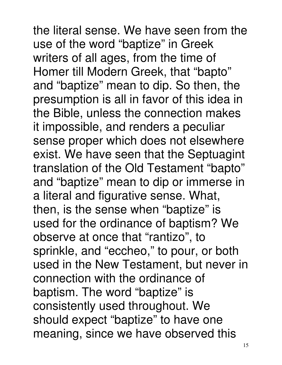the literal sense. We have seen from the use of the word "baptize" in Greek writers of all ages, from the time of Homer till Modern Greek, that "bapto" and "baptize" mean to dip. So then, the presumption is all in favor of this idea in the Bible, unless the connection makes it impossible, and renders a peculiar sense proper which does not elsewhere exist. We have seen that the Septuagint translation of the Old Testament "bapto" and "baptize" mean to dip or immerse in a literal and figurative sense. What, then, is the sense when "baptize" is used for the ordinance of baptism? We observe at once that "rantizo", to sprinkle, and "eccheo," to pour, or both used in the New Testament, but never in connection with the ordinance of baptism. The word "baptize" is consistently used throughout. We should expect "baptize" to have one meaning, since we have observed this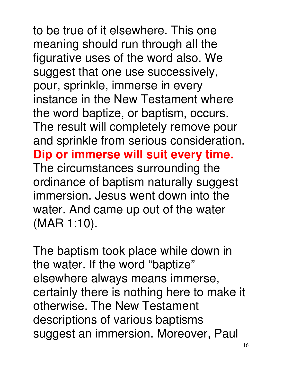to be true of it elsewhere. This one meaning should run through all the figurative uses of the word also. We suggest that one use successively, pour, sprinkle, immerse in every instance in the New Testament where the word baptize, or baptism, occurs. The result will completely remove pour and sprinkle from serious consideration. **Dip or immerse will suit every time.** The circumstances surrounding the ordinance of baptism naturally suggest immersion. Jesus went down into the water. And came up out of the water (MAR 1:10).

The baptism took place while down in the water. If the word "baptize" elsewhere always means immerse, certainly there is nothing here to make it otherwise. The New Testament descriptions of various baptisms suggest an immersion. Moreover, Paul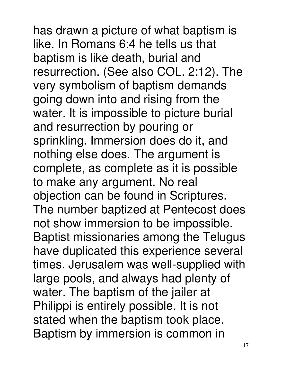has drawn a picture of what baptism is like. In Romans 6:4 he tells us that baptism is like death, burial and resurrection. (See also COL. 2:12). The very symbolism of baptism demands going down into and rising from the water. It is impossible to picture burial and resurrection by pouring or sprinkling. Immersion does do it, and nothing else does. The argument is complete, as complete as it is possible to make any argument. No real objection can be found in Scriptures. The number baptized at Pentecost does not show immersion to be impossible. Baptist missionaries among the Telugus have duplicated this experience several times. Jerusalem was well-supplied with large pools, and always had plenty of water. The baptism of the jailer at Philippi is entirely possible. It is not stated when the baptism took place. Baptism by immersion is common in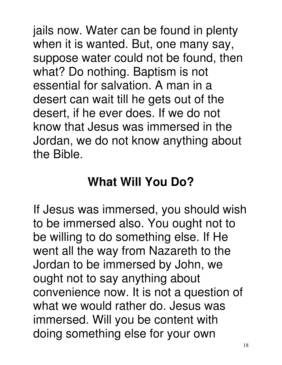jails now. Water can be found in plenty when it is wanted. But, one many say, suppose water could not be found, then what? Do nothing. Baptism is not essential for salvation. A man in a desert can wait till he gets out of the desert, if he ever does. If we do not know that Jesus was immersed in the Jordan, we do not know anything about the Bible.

#### **What Will You Do?**

If Jesus was immersed, you should wish to be immersed also. You ought not to be willing to do something else. If He went all the way from Nazareth to the Jordan to be immersed by John, we ought not to say anything about convenience now. It is not a question of what we would rather do. Jesus was immersed. Will you be content with doing something else for your own